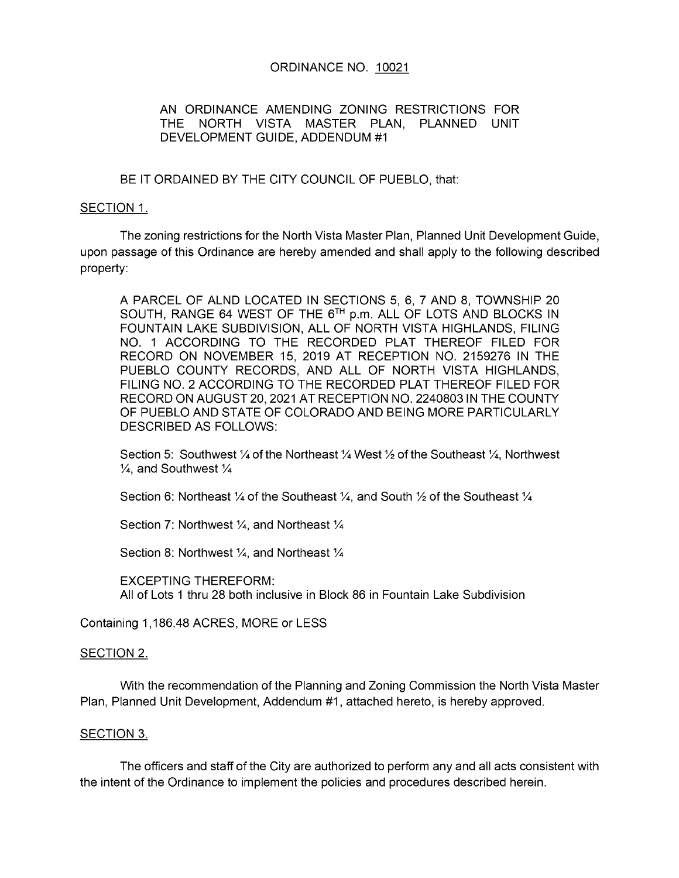## ORDINANCE NO. 10021

## AN ORDINANCE AMENDING ZONING RESTRICTIONS FOR THE NORTH VISTA MASTER PLAN, PLANNED UNIT DEVELOPMENT GUIDE, ADDENDUM #1

BE IT ORDAINED BY THE CITY COUNCIL OF PUEBLO, that:

## SECTION 1.

The zoning restrictions for the North Vista Master Plan, Planned Unit Development Guide, upon passage of this Ordinance are hereby amended and shall apply to the following described property:

A PARCEL OF ALND LOCATED IN SECTIONS 5, 6, 7 AND 8, TOWNSHIP 20 SOUTH, RANGE 64 WEST OF THE 6TH p.m. ALL OF LOTS AND BLOCKS IN FOUNTAIN LAKE SUBDIVISION, ALL OF NORTH VISTA HIGHLANDS, FILING NO. 1 ACCORDING TO THE RECORDED PLAT THEREOF FILED FOR RECORD ON NOVEMBER 15, 2019 AT RECEPTION NO. 2159276 IN THE PUEBLO COUNTY RECORDS, AND ALL OF NORTH VISTA HIGHLANDS, FILING NO. 2 ACCORDING TO THE RECORDED PLAT THEREOF FILED FOR RECORD ON AUGUST 20, 2021 AT RECEPTION NO. 2240803 IN THE COUNTY OF PUEBLO AND STATE OF COLORADO AND BEING MORE PARTICULARLY **DESCRIBED AS FOLLOWS:** 

Section 5: Southwest  $\frac{1}{4}$  of the Northeast  $\frac{1}{4}$  West  $\frac{1}{2}$  of the Southeast  $\frac{1}{4}$ , Northwest  $\frac{1}{4}$ , and Southwest  $\frac{1}{4}$ 

Section 6: Northeast  $\frac{1}{4}$  of the Southeast  $\frac{1}{4}$ , and South  $\frac{1}{2}$  of the Southeast  $\frac{1}{4}$ 

Section 7: Northwest 1/4, and Northeast 1/4

Section 8: Northwest 1/4, and Northeast 1/4

**EXCEPTING THEREFORM:** All of Lots 1 thru 28 both inclusive in Block 86 in Fountain Lake Subdivision

Containing 1,186.48 ACRES, MORE or LESS

## SECTION 2.

With the recommendation of the Planning and Zoning Commission the North Vista Master Plan, Planned Unit Development, Addendum #1, attached hereto, is hereby approved.

#### SECTION 3.

The officers and staff of the City are authorized to perform any and all acts consistent with the intent of the Ordinance to implement the policies and procedures described herein.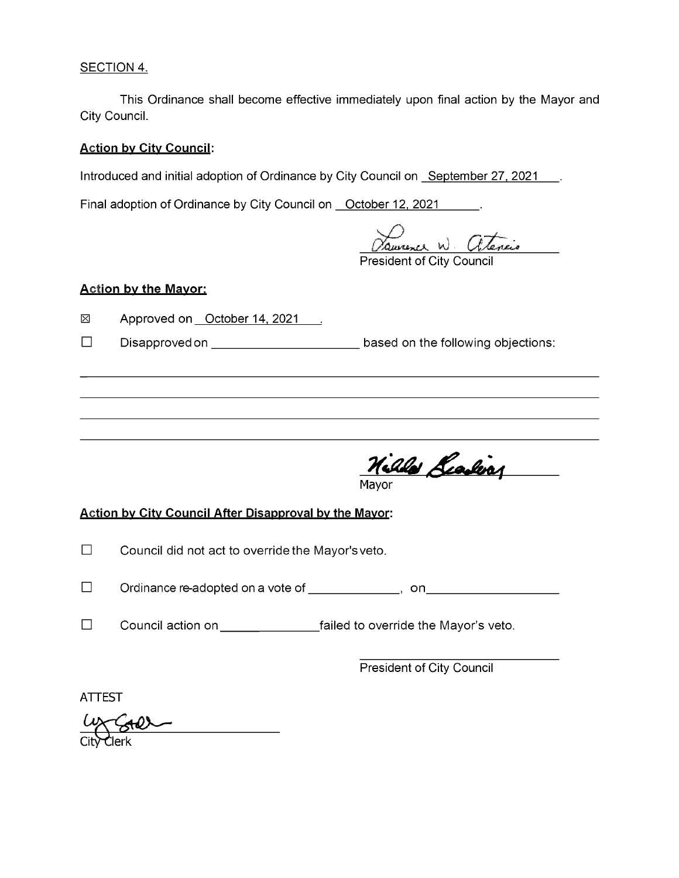# SECTION 4.

This Ordinance shall become effective immediately upon final action by the Mayor and City Council.

## **Action by City Council:**

Introduced and initial adoption of Ordinance by City Council on September 27, 2021 ...

Final adoption of Ordinance by City Council on October 12, 2021 ...

Danvence W Giteneis

# **Action by the Mayor:**

 $\boxtimes$ Approved on October 14, 2021 .

 $\Box$ Disapproved on **based** on the following objections:

Nilla Leading

# Action by City Council After Disapproval by the Mayor:

- $\Box$ Council did not act to override the Mayor's veto.
- $\Box$ Ordinancere-adoptedonavoteof , on
- $\Box$ Councilactionon \_\_\_\_\_\_\_ failedtooverridetheMayor'sveto.

President of City Council

ATTEST

City Clerk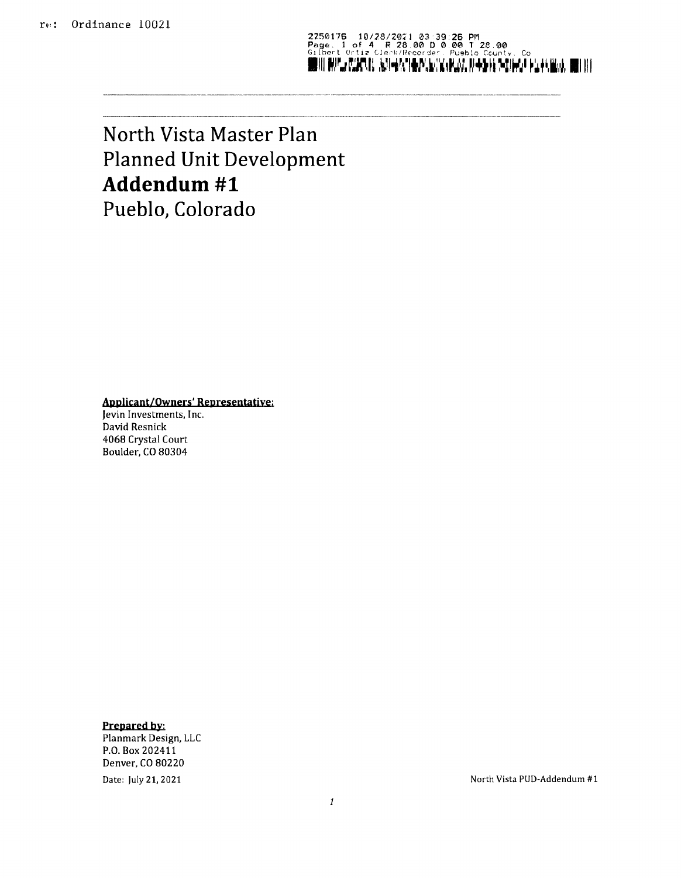2250176 10/28/2021 03:39:26 PM<br>Page. 1 of 4 R 28.00 D 0.00 D 0.00 T 28.00<br>Gilbert Ortiz Clerk/ fecorder. Pueblo County, Co<br>MIN RIGAN, R SI IN'S R R R R R R R R R R R R R R R R R R N

# North Vista Master Plan Planned Unit Development Addendum #1 Pueblo, Colorado

Applicant/ Owners' Representative:

Jevin Investments, Inc. David Resnick 4068 Crystal Court Boulder, CO 80304

Prepared by: Planmark Design, LLC P.O. Box 202411 Denver, CO 80220

Date: July 21, 2021 2008 12:00 12:00 2010 12:00 2010 12:00 2010 12:00 2010 12:00 2010 12:00 2010 12:00 2010 12:00 2010 12:00 2010 12:00 2010 12:00 2010 12:00 2010 12:00 2010 12:00 2010 12:00 2010 12:00 2010 12:00 2010 12:0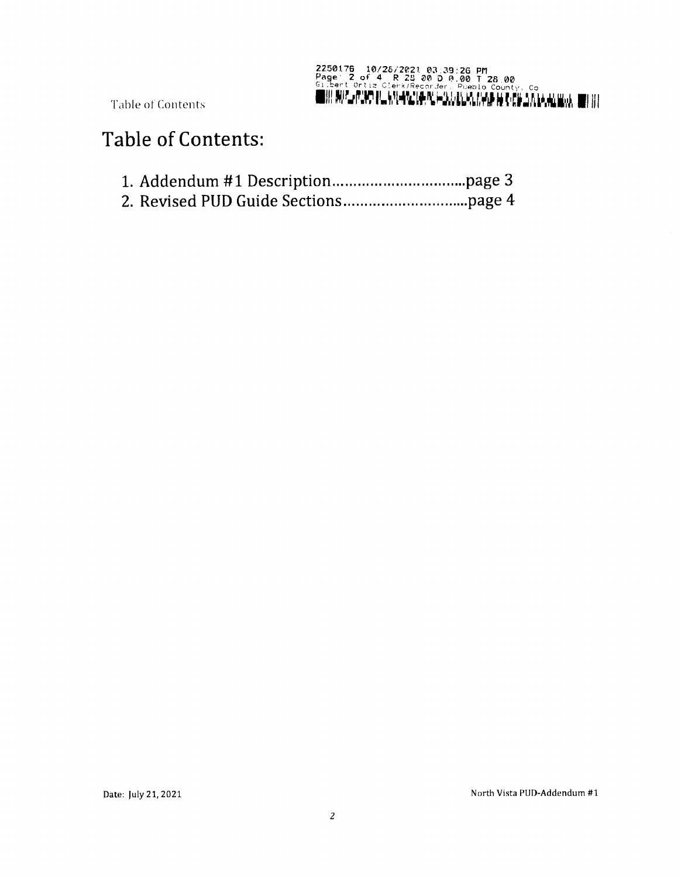

Table of Contents

# **Table of Contents:**

- 
-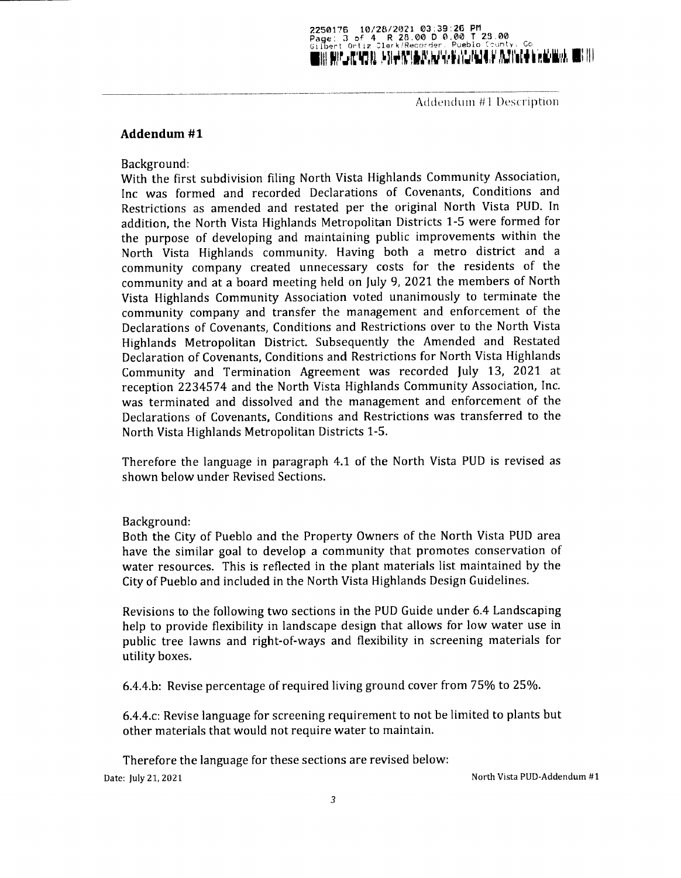## 2250176 10/28/2021 03:39:26 PM Pager 3 of 4 - R 28.00 D 0.00 T 23.00<br>Gilbert Ortiz Clerk/Recorder, Pueblo County, Co UIII HAVII, ATASTA 1911-1911 INDIANA YA HAVADA NA MATSA NA HAVADA UNA HAVADA UNA HAVADA UNA HAVADA UNA HAVADA

Addendum 41 Description

### Addendum #1

Background:

With the first subdivision filing North Vista Highlands Community Association, Inc was formed and recorded Declarations of Covenants, Conditions and Restrictions as amended and restated per the original North Vista PUD. In addition, the North Vista Highlands Metropolitan Districts 1-5 were formed for the purpose of developing and maintaining public improvements within the North Vista Highlands community. Having both <sup>a</sup> metro district and <sup>a</sup> community company created unnecessary costs for the residents of the community and at a board meeting held on July 9, 2021 the members of North Vista Highlands Community Association voted unanimously to terminate the community company and transfer the management and enforcement of the Declarations of Covenants, Conditions and Restrictions over to the North Vista Highlands Metropolitan District. Subsequently the Amended and Restated Declaration of Covenants, Conditions and Restrictions for North Vista Highlands Community and Termination Agreement was recorded July 13, 2021 at reception 2234574 and the North Vista Highlands Community Association, Inc. was terminated and dissolved and the management and enforcement of the Declarations of Covenants, Conditions and Restrictions was transferred to the North Vista Highlands Metropolitan Districts 1-5.

Therefore the language in paragraph 4.1 of the North Vista PUD is revised as shown below under Revised Sections.

Background:

Both the City of Pueblo and the Property Owners of the North Vista PUD area have the similar goal to develop <sup>a</sup> community that promotes conservation of water resources. This is reflected in the plant materials list maintained by the City of Pueblo and included in the North Vista Highlands Design Guidelines.

Revisions to the following two sections in the PUD Guide under 6.4 Landscaping help to provide flexibility in landscape design that allows for low water use in public tree lawns and right-of-ways and flexibility in screening materials for utility boxes.

6. 4.4.b: Revise percentage of required living ground cover from 75% to 25%.

6.4.4.c: Revise language for screening requirement to not be limited to plants but other materials that would not require water to maintain.

Therefore the language for these sections are revised below:

Date: July 21, <sup>2021</sup> North Vista PUD-Addendum# <sup>1</sup>